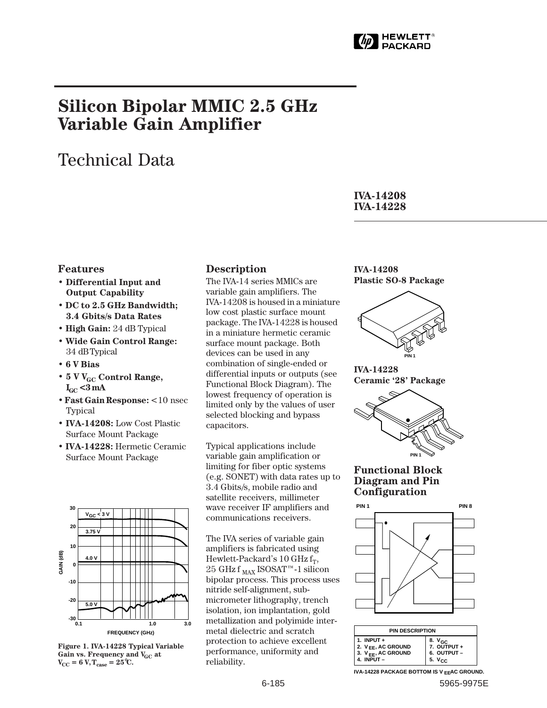

# **Silicon Bipolar MMIC 2.5 GHz Variable Gain Amplifier**

# Technical Data

**IVA-14208 IVA-14228**

### **Features**

- **Differential Input and Output Capability**
- **DC to 2.5 GHz Bandwidth; 3.4 Gbits/s Data Rates**
- **High Gain:** 24 dB Typical
- **Wide Gain Control Range:** 34␣ dB Typical
- **6 V Bias**
- 5 V V<sub>GC</sub> Control Range,  $I_{GC}$  < 3 mA
- **Fast Gain Response:** <10␣ nsec Typical
- **IVA-14208:** Low Cost Plastic Surface Mount Package
- **IVA-14228:** Hermetic Ceramic Surface Mount Package



**Figure 1. IVA-14228 Typical Variable** Gain vs. Frequency and V<sub>GC</sub> at  $V_{\text{CC}} = 6 \text{ V}, T_{\text{case}} = 25^{\circ} \text{C}.$ 

### **Description**

The IVA-14 series MMlCs are variable gain amplifiers. The IVA-14208 is housed in a miniature low cost plastic surface mount package. The IVA-14228 is housed in a miniature hermetic ceramic surface mount package. Both devices can be used in any combination of single-ended or differential inputs or outputs (see Functional Block Diagram). The lowest frequency of operation is limited only by the values of user selected blocking and bypass capacitors.

Typical applications include variable gain amplification or limiting for fiber optic systems (e.g. SONET) with data rates up to 3.4 Gbits/s, mobile radio and satellite receivers, millimeter wave receiver IF amplifiers and communications receivers.

The IVA series of variable gain amplifiers is fabricated using Hewlett-Packard's 10 GHz  $f_T$ ,  $25~\mathrm{GHz\,f\,}_{\mathrm{MAX}}$ ISOSAT™-1 silicon bipolar process. This process uses nitride self-alignment, submicrometer lithography, trench isolation, ion implantation, gold metallization and polyimide intermetal dielectric and scratch protection to achieve excellent performance, uniformity and reliability.

**IVA-14208 Plastic SO-8 Package**



**IVA-14228 Ceramic '28' Package**



#### **Functional Block Diagram and Pin Configuration**



| <b>PIN DESCRIPTION</b>                                                                        |                                                                 |  |  |  |
|-----------------------------------------------------------------------------------------------|-----------------------------------------------------------------|--|--|--|
| 1. INPUT $+$<br>2. V <sub>FF</sub> , AC GROUND<br>3. V <sub>EE</sub> , AC GROUND<br>4. INPUT- | 8. V <sub>GC</sub><br>7. OUTPUT +<br>6. OUTPUT -<br>5. $V_{CC}$ |  |  |  |

**IVA-14228 PACKAGE BOTTOM IS V <sub>EE</sub>AC GROUND.**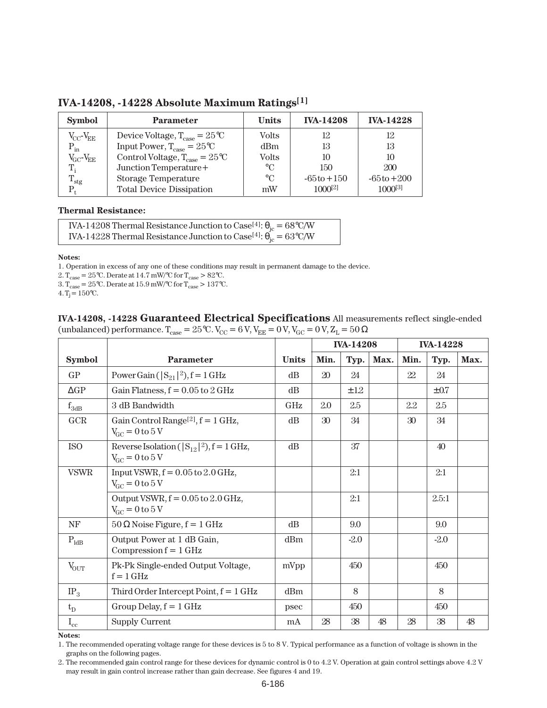| <b>Symbol</b>               | <b>Parameter</b>                                        | <b>Units</b>    | <b>IVA-14208</b> | <b>IVA-14228</b> |
|-----------------------------|---------------------------------------------------------|-----------------|------------------|------------------|
| $V_{\rm CC}\!-\!V_{\!E\!E}$ | Device Voltage, $T_{\text{case}} = 25^{\circ}\text{C}$  | <b>Volts</b>    | 12               | 12               |
| $P_{in}$                    | Input Power, $T_{\text{case}} = 25^{\circ}\text{C}$     | d <sub>Bm</sub> | 13               | 13               |
| $V_{\rm GC}$ - $V_{\rm EE}$ | Control Voltage, $T_{\text{case}} = 25^{\circ}\text{C}$ | <b>Volts</b>    | 10               | 10               |
| $T_i$                       | Junction Temperature+                                   | $\rm ^{\circ}C$ | 150              | 200              |
| $T_{\rm stg}$               | <b>Storage Temperature</b>                              | $\rm ^{\circ}C$ | $-65t0+150$      | $-65t0+200$      |
|                             | <b>Total Device Dissipation</b>                         | mW              | $1000^{[2]}$     | $1000^{[3]}$     |

**IVA-14208, -14228 Absolute Maximum Ratings[1]**

#### **Thermal Resistance:**

IVA-14208 Thermal Resistance Junction to Case<sup>[4]</sup>:  $\theta_{\rm jc}$  = 68°C/W IVA-14228 Thermal Resistance Junction to Case<sup>[4]</sup>:  $\theta_{\rm jc} = 63^{\circ}$ C/W

#### **Notes:**

1. Operation in excess of any one of these conditions may result in permanent damage to the device.

2.  $T_{case} = 25^{\circ}C$ . Derate at 14.7 mW/ $^{\circ}C$  for  $T_{case} > 82^{\circ}C$ .

 $3. T_{\text{case}} = 25 \degree \text{C}$ . Derate at 15.9 mW/ $\degree \text{C}$  for  $T_{\text{case}} > 137 \degree \text{C}$ .

 $4. T_j = 150$ °C.

**IVA-14208, -14228 Guaranteed Electrical Specifications** All measurements reflect single-ended (unbalanced) performance.  $T_{\text{case}} = 25^{\circ}\text{C}$ .  $V_{\text{CC}} = 6 \text{ V}$ ,  $V_{\text{EE}} = 0 \text{ V}$ ,  $V_{\text{GC}} = 0 \text{ V}$ ,  $Z_L = 50 \Omega$ 

|                  |                                                                                                 |              | <b>IVA-14208</b> |        | <b>IVA-14228</b> |                 |           |      |
|------------------|-------------------------------------------------------------------------------------------------|--------------|------------------|--------|------------------|-----------------|-----------|------|
| <b>Symbol</b>    | <b>Parameter</b>                                                                                | <b>Units</b> | Min.             | Typ.   | Max.             | Min.            | Typ.      | Max. |
| GP               | Power Gain ( $ S_{21} ^2$ ), f = 1 GHz                                                          | dB           | 20               | 24     |                  | 22              | 24        |      |
| $\Delta GP$      | Gain Flatness, $f = 0.05$ to $2$ GHz                                                            | dB           |                  | ±12    |                  |                 | $\pm 0.7$ |      |
| $f_{3dB}$        | 3 dB Bandwidth                                                                                  | GHz          | 2.0              | 2.5    |                  | 2.2             | 2.5       |      |
| GCR              | Gain Control Range <sup>[2]</sup> , $f = 1$ GHz,<br>$V_{\text{GC}} = 0 \text{ to } 5 \text{ V}$ | dB           | 30 <sup>°</sup>  | 34     |                  | 30 <sup>°</sup> | 34        |      |
| <b>ISO</b>       | Reverse Isolation ( $ S_{12} ^2$ ), $f = 1$ GHz,<br>$V_{\text{GC}} = 0 \text{ to } 5 \text{ V}$ | dB           |                  | 37     |                  |                 | 40        |      |
| <b>VSWR</b>      | Input VSWR, $f = 0.05$ to $2.0$ GHz,<br>$V_{\text{GC}} = 0 \text{ to } 5 \text{ V}$             |              |                  | 2:1    |                  |                 | 2:1       |      |
|                  | Output VSWR, $f = 0.05$ to 2.0 GHz,<br>$V_{\text{GC}} = 0 \text{ to } 5 \text{ V}$              |              |                  | 2:1    |                  |                 | 2.5:1     |      |
| NF               | $50 \Omega$ Noise Figure, $f = 1$ GHz                                                           | dB           |                  | 9.0    |                  |                 | 9.0       |      |
| $P_{\text{ldB}}$ | Output Power at 1 dB Gain,<br>Compression $f = 1$ GHz                                           | dBm          |                  | $-2.0$ |                  |                 | $-2.0$    |      |
| $V_{OUT}$        | Pk-Pk Single-ended Output Voltage,<br>$f = 1$ GHz                                               | mVpp         |                  | 450    |                  |                 | 450       |      |
| $IP_3$           | Third Order Intercept Point, $f = 1$ GHz                                                        | dBm          |                  | 8      |                  |                 | 8         |      |
| $t_D$            | Group Delay, $f = 1$ GHz                                                                        | psec         |                  | 450    |                  |                 | 450       |      |
| $I_{\rm cc}$     | <b>Supply Current</b>                                                                           | mA           | 28               | 38     | 48               | 28              | 38        | 48   |

**Notes:**

1. The recommended operating voltage range for these devices is 5 to 8 V. Typical performance as a function of voltage is shown in the graphs on the following pages.

<sup>2.</sup> The recommended gain control range for these devices for dynamic control is 0 to 4.2 V. Operation at gain control settings above 4.2 V may result in gain control increase rather than gain decrease. See figures 4 and 19.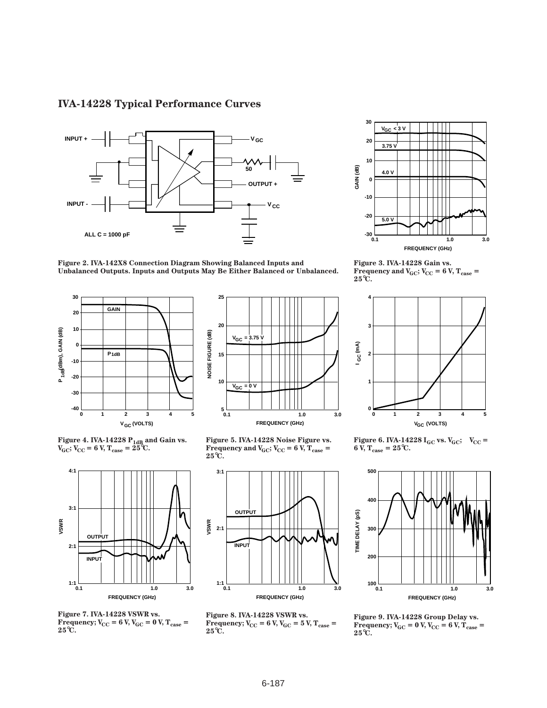## **IVA-14228 Typical Performance Curves**





**25**





**Figure 4. IVA-14228 P1dB and Gain vs.**  $V_{\text{GC}}$ ;  $V_{\text{CC}}$  = 6 V,  $T_{\text{case}}$  = 25 °C.



**Figure 7. IVA-14228 VSWR vs. Frequency;**  $V_{CC} = 6$  V,  $V_{GC} = 0$  V,  $T_{case} =$ **25**°**C.**

**Figure 5. IVA-14228 Noise Figure vs. Frequency and**  $V_{GC}$ **;**  $V_{CC}$  **= 6 V,**  $T_{case}$  **= 25**°**C.**



**Figure 8. IVA-14228 VSWR vs. Frequency;**  $V_{CC} = 6$  V,  $V_{GC} = 5$  V,  $T_{case} =$ **25**°**C.**



**Figure 3. IVA-14228 Gain vs. Frequency and**  $V_{GC}$ **;**  $V_{CC}$  **= 6 V,**  $T_{case}$  **= 25**°**C.**



**Figure 6. IVA-14228 I<sub>GC</sub> vs. V<sub>GC</sub>; V<sub>CC</sub> =**  $6 \text{ V}, T_{\text{case}} = 25^{\circ} \text{C}.$ 



**Figure 9. IVA-14228 Group Delay vs.**  $Frequency; V_{GC} = 0 V, V_{CC} = 6 V, T_{case} =$ **25**°**C.**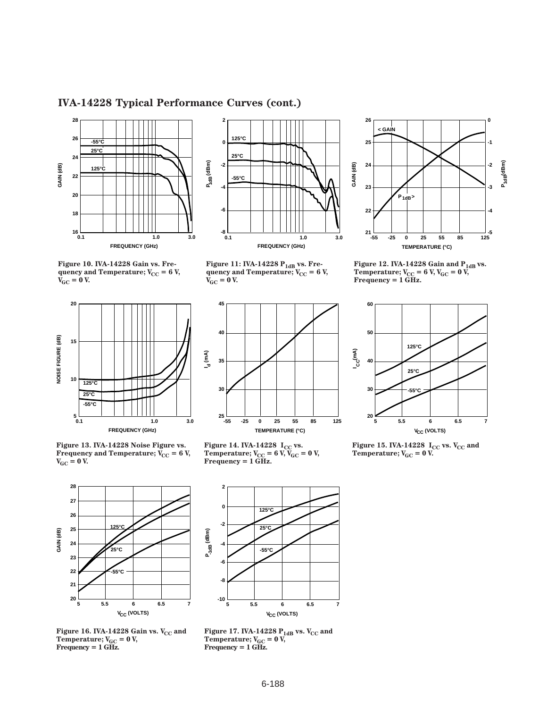## **IVA-14228 Typical Performance Curves (cont.)**





Figure 11: IVA-14228 P<sub>1dB</sub> vs. Frequency and Temperature;  $V_{CC}$  = 6 V,

 $V_{\text{GC}} = 0$  V.





**Figure 13. IVA-14228 Noise Figure vs. Frequency and Temperature;**  $\overline{V}_{CC} = 6 \text{ V}$ **,**  $V_{GC} = 0 V$ .



**Figure 14. IVA-14228**  $I_{\text{CC}}$  **vs. Temperature;**  $V_{CC} = 6 \text{ V}, V_{GC} = 0 \text{ V},$ **Frequency = 1 GHz.**



**Figure 12. IVA-14228 Gain and P1dB vs.** Temperature; V<sub>CC</sub> = 6 V, V<sub>GC</sub> = 0 V,<br>Frequency = 1 GHz.



**Figure 15. IVA-14228**  $I_{\text{CC}}$  **vs.**  $V_{\text{CC}}$  **and Temperature;**  $V_{GC} = 0$  V.



**2 -2 -4**  $-10<sup>1</sup>$ **5 6.5 7 V<sub>CC</sub> (VOLTS) 0 5.5 6 P (dBm) -1dB 125°C 25°C -55°C -6 -8**

Figure 16. IVA-14228 Gain vs. V<sub>CC</sub> and  $T$ emperature; V<sub>GC</sub> = 0 V,<br>Frequency = 1 GHz.

Figure 17. IVA-14228  $\rm P_{1dB}$  vs. V<sub>CC</sub> and  $T$ emperature; V<sub>GC</sub> = 0 V,<br>Frequency = 1 GHz.

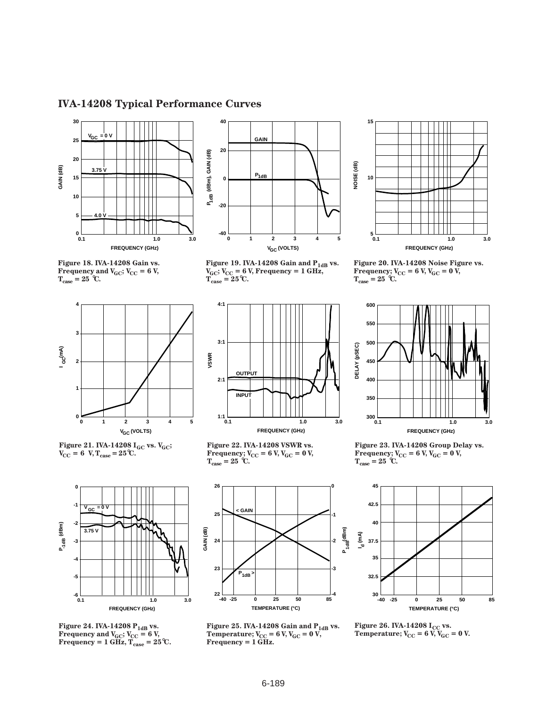## **IVA-14208 Typical Performance Curves**







**Figure 21. IVA-14208 IGC vs. VGC;**  $V_{\text{CC}} = 6 \text{ V}, T_{\text{case}} = 25^{\circ}\text{C}.$ 



Figure 19. IVA-14208 Gain and P<sub>1dB</sub> vs.  $V_{\text{GC}}$ ;  $V_{\text{CC}}$  = 6 V, Frequency = 1 GHz,  $T_{\text{case}} = 25^{\circ}\text{C}.$ 



**Figure 20. IVA-14208 Noise Figure vs. Frequency;**  $V_{CC}$  **= 6 V,**  $V_{GC}$  **= 0 V,**  $T_{\text{case}} = 25$  °C.



**Figure 22. IVA-14208 VSWR vs. Frequency;**  $V_{CC}$  = 6 V,  $V_{GC}$  = 0 V,  $T_{\text{case}} = 25$  °C.



**600**

**550**

**500**

**450**



**Figure 24. IVA-14208 P1dB vs. Frequency and**  $V_{\text{GC}}$ **;**  $V_{\text{CC}} = 6$  **V,**  $Frequency = 1 GHz, T<sub>case</sub> = 25°C.$ 



Figure 25. IVA-14208 Gain and  $\rm P_{1dB}$  vs. **Temperature;**  $V_{CC} = 6$  V,  $V_{GC} = 0$  V, **Frequency = 1 GHz.**

**Frequency;**  $V_{CC}$  = 6 V,  $V_{GC}$  = 0 V,



Figure 26. IVA-14208  $I_{CC}$  vs. **Temperature;**  $V_{CC} = 6 \widetilde{V}$ ,  $\widetilde{V}_{GC} = 0 V$ .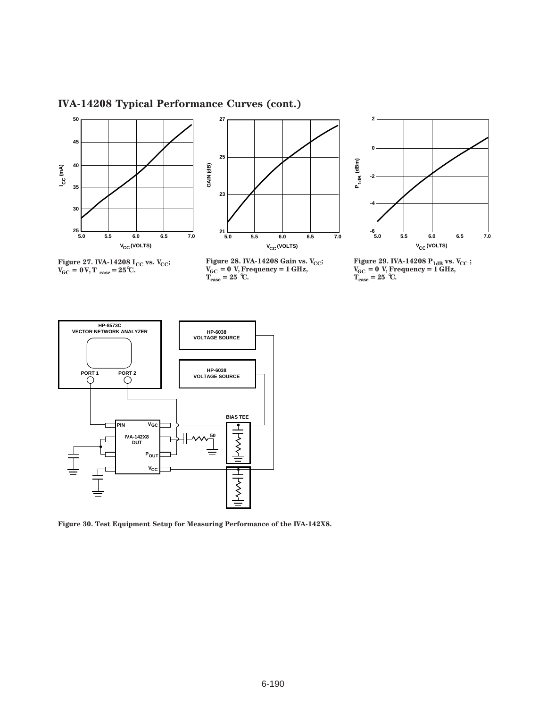# **IVA-14208 Typical Performance Curves (cont.)**







**Figure 27. IVA-14208 I<sub>CC</sub> vs. V<sub>CC</sub>;**  $V_{\text{GC}} = 0 \text{ V}, T_{\text{case}} = 25^{\circ} \text{C}.$ 

**Figure 28. IVA-14208 Gain vs. V<sub>CC</sub>; VGC␣ = 0 V, Frequency = 1 GHz,**  $T_{\text{case}} = 25$  °C.

**Figure 29. IVA-14208 P<sub>1dB</sub> vs. V<sub>CC</sub> ; VGC␣ = 0 V, Frequency = 1 GHz,**  $T_{\text{case}} = 25$  °C.



**Figure 30. Test Equipment Setup for Measuring Performance of the IVA-142X8.**